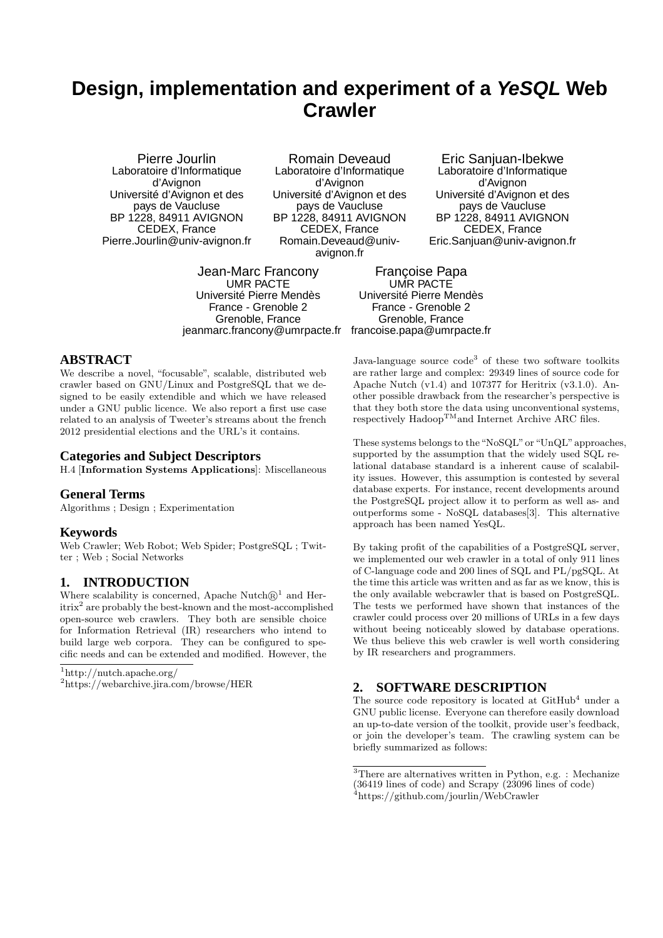# **Design, implementation and experiment of a YeSQL Web Crawler**

Pierre Jourlin Laboratoire d'Informatique d'Avignon Université d'Avignon et des pays de Vaucluse BP 1228, 84911 AVIGNON CEDEX, France Pierre.Jourlin@univ-avignon.fr

Romain Deveaud Laboratoire d'Informatique d'Avignon Université d'Avignon et des pays de Vaucluse BP 1228, 84911 AVIGNON CEDEX, France Romain.Deveaud@univavignon.fr

Jean-Marc Francony UMR PACTE Université Pierre Mendès France - Grenoble 2 Grenoble, France jeanmarc.francony@umrpacte.fr

Eric Sanjuan-Ibekwe Laboratoire d'Informatique d'Avignon Université d'Avignon et des pays de Vaucluse BP 1228, 84911 AVIGNON CEDEX, France Eric.Sanjuan@univ-avignon.fr

Françoise Papa UMR PACTE Université Pierre Mendès France - Grenoble 2 Grenoble, France francoise.papa@umrpacte.fr

# **ABSTRACT**

We describe a novel, "focusable", scalable, distributed web crawler based on GNU/Linux and PostgreSQL that we designed to be easily extendible and which we have released under a GNU public licence. We also report a first use case related to an analysis of Tweeter's streams about the french 2012 presidential elections and the URL's it contains.

#### **Categories and Subject Descriptors**

H.4 [Information Systems Applications]: Miscellaneous

#### **General Terms**

Algorithms ; Design ; Experimentation

#### **Keywords**

Web Crawler; Web Robot; Web Spider; PostgreSQL ; Twitter ; Web ; Social Networks

## **1. INTRODUCTION**

Where scalability is concerned, Apache Nutch $\mathbb{R}^1$  and Heritrix<sup>2</sup> are probably the best-known and the most-accomplished open-source web crawlers. They both are sensible choice for Information Retrieval (IR) researchers who intend to build large web corpora. They can be configured to specific needs and can be extended and modified. However, the

<sup>1</sup>http://nutch.apache.org/

Java-language source code<sup>3</sup> of these two software toolkits are rather large and complex: 29349 lines of source code for Apache Nutch (v1.4) and 107377 for Heritrix (v3.1.0). Another possible drawback from the researcher's perspective is that they both store the data using unconventional systems, respectively  $\text{Hadoop}^{\text{TM}}$  and Internet Archive ARC files.

These systems belongs to the "NoSQL" or "UnQL" approaches, supported by the assumption that the widely used SQL relational database standard is a inherent cause of scalability issues. However, this assumption is contested by several database experts. For instance, recent developments around the PostgreSQL project allow it to perform as well as- and outperforms some - NoSQL databases[3]. This alternative approach has been named YesQL.

By taking profit of the capabilities of a PostgreSQL server, we implemented our web crawler in a total of only 911 lines of C-language code and 200 lines of SQL and PL/pgSQL. At the time this article was written and as far as we know, this is the only available webcrawler that is based on PostgreSQL. The tests we performed have shown that instances of the crawler could process over 20 millions of URLs in a few days without beeing noticeably slowed by database operations. We thus believe this web crawler is well worth considering by IR researchers and programmers.

#### **2. SOFTWARE DESCRIPTION**

The source code repository is located at  $\text{GitHub}^4$  under a GNU public license. Everyone can therefore easily download an up-to-date version of the toolkit, provide user's feedback, or join the developer's team. The crawling system can be briefly summarized as follows:

<sup>2</sup>https://webarchive.jira.com/browse/HER

<sup>3</sup>There are alternatives written in Python, e.g. : Mechanize (36419 lines of code) and Scrapy (23096 lines of code) <sup>4</sup>https://github.com/jourlin/WebCrawler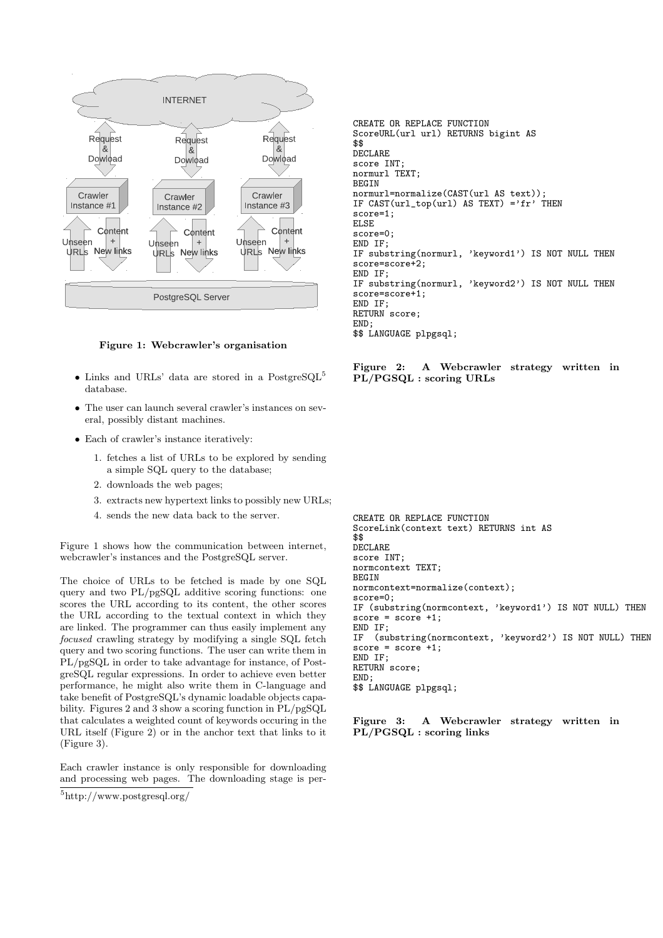



- Links and URLs' data are stored in a PostgreSQL<sup>5</sup> database.
- The user can launch several crawler's instances on several, possibly distant machines.
- Each of crawler's instance iteratively:
	- 1. fetches a list of URLs to be explored by sending a simple SQL query to the database;
	- 2. downloads the web pages;
	- 3. extracts new hypertext links to possibly new URLs;
	- 4. sends the new data back to the server.

Figure 1 shows how the communication between internet, webcrawler's instances and the PostgreSQL server.

The choice of URLs to be fetched is made by one SQL query and two PL/pgSQL additive scoring functions: one scores the URL according to its content, the other scores the URL according to the textual context in which they are linked. The programmer can thus easily implement any focused crawling strategy by modifying a single SQL fetch query and two scoring functions. The user can write them in PL/pgSQL in order to take advantage for instance, of PostgreSQL regular expressions. In order to achieve even better performance, he might also write them in C-language and take benefit of PostgreSQL's dynamic loadable objects capability. Figures 2 and 3 show a scoring function in PL/pgSQL that calculates a weighted count of keywords occuring in the URL itself (Figure 2) or in the anchor text that links to it (Figure 3).

Each crawler instance is only responsible for downloading and processing web pages. The downloading stage is per-

CREATE OR REPLACE FUNCTION ScoreURL(url url) RETURNS bigint AS \$\$ DECLARE score INT; normurl TEXT; BEGIN normurl=normalize(CAST(url AS text)); IF  $CAST(url\_top(url)$  AS TEXT) ='fr' THEN score=1; ELSE score=0; END IF; IF substring(normurl, 'keyword1') IS NOT NULL THEN score=score+2; END IF; IF substring(normurl, 'keyword2') IS NOT NULL THEN score=score+1; END IF; RETURN score; END; \$\$ LANGUAGE plpgsql;

Figure 2: A Webcrawler strategy written in PL/PGSQL : scoring URLs

CREATE OR REPLACE FUNCTION ScoreLink(context text) RETURNS int AS \$\$ DECLARE score INT; normcontext TEXT; **BEGIN** normcontext=normalize(context); score=0; IF (substring(normcontext, 'keyword1') IS NOT NULL) THEN  $score = score +1$ : END IF;<br>IF (su (substring(normcontext, 'keyword2') IS NOT NULL) THEN  $score = score +1$ : END IF. RETURN score; END; \$\$ LANGUAGE plpgsql;

Figure 3: A Webcrawler strategy written in PL/PGSQL : scoring links

<sup>5</sup>http://www.postgresql.org/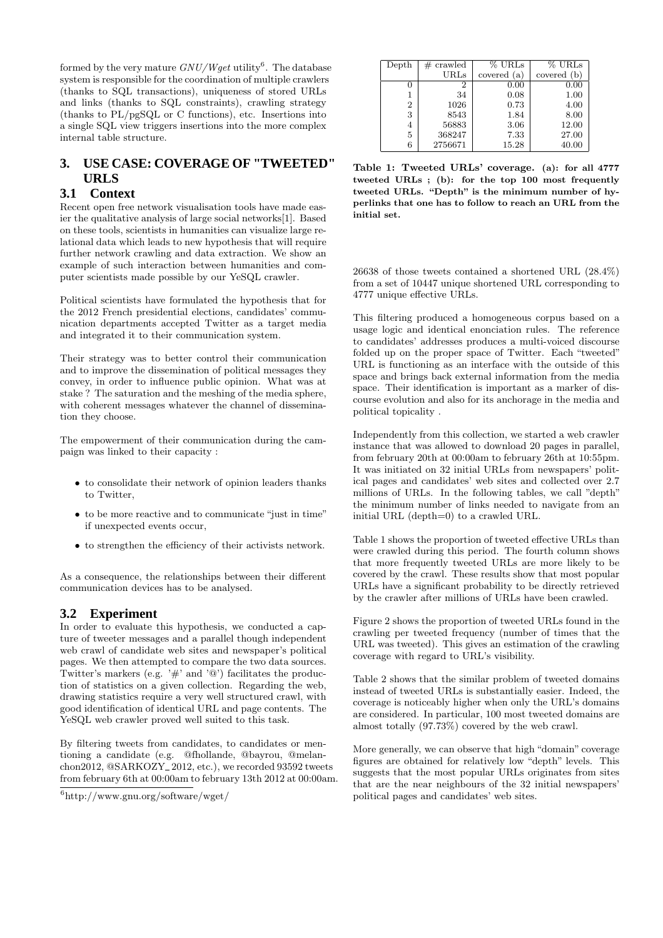formed by the very mature  $\frac{GNU/Wget}{W}$  utility<sup>6</sup>. The database system is responsible for the coordination of multiple crawlers (thanks to SQL transactions), uniqueness of stored URLs and links (thanks to SQL constraints), crawling strategy (thanks to PL/pgSQL or C functions), etc. Insertions into a single SQL view triggers insertions into the more complex internal table structure.

# **3. USE CASE: COVERAGE OF "TWEETED" URLS**

### **3.1 Context**

Recent open free network visualisation tools have made easier the qualitative analysis of large social networks[1]. Based on these tools, scientists in humanities can visualize large relational data which leads to new hypothesis that will require further network crawling and data extraction. We show an example of such interaction between humanities and computer scientists made possible by our YeSQL crawler.

Political scientists have formulated the hypothesis that for the 2012 French presidential elections, candidates' communication departments accepted Twitter as a target media and integrated it to their communication system.

Their strategy was to better control their communication and to improve the dissemination of political messages they convey, in order to influence public opinion. What was at stake ? The saturation and the meshing of the media sphere, with coherent messages whatever the channel of dissemination they choose.

The empowerment of their communication during the campaign was linked to their capacity :

- to consolidate their network of opinion leaders thanks to Twitter,
- to be more reactive and to communicate "just in time" if unexpected events occur,
- $\bullet\,$  to strengthen the efficiency of their activists network.

As a consequence, the relationships between their different communication devices has to be analysed.

# **3.2 Experiment**

In order to evaluate this hypothesis, we conducted a capture of tweeter messages and a parallel though independent web crawl of candidate web sites and newspaper's political pages. We then attempted to compare the two data sources. Twitter's markers (e.g.  $'\#$ ' and  $'\oplus'$ ) facilitates the production of statistics on a given collection. Regarding the web, drawing statistics require a very well structured crawl, with good identification of identical URL and page contents. The YeSQL web crawler proved well suited to this task.

By filtering tweets from candidates, to candidates or mentioning a candidate (e.g. @fhollande, @bayrou, @melanchon2012, @SARKOZY\_2012, etc.), we recorded 93592 tweets from february 6th at 00:00am to february 13th 2012 at 00:00am.

| Depth          | $#$ crawled | $%$ URLs    | % URLs      |
|----------------|-------------|-------------|-------------|
|                | URLs        | covered (a) | covered (b) |
|                | 2           | 0.00        | 0.00        |
|                | 34          | 0.08        | 1.00        |
| $\overline{2}$ | 1026        | 0.73        | 4.00        |
| 3              | 8543        | 1.84        | 8.00        |
| 4              | 56883       | 3.06        | 12.00       |
| 5              | 368247      | 7.33        | 27.00       |
| 6              | 2756671     | 15.28       | 40.00       |

Table 1: Tweeted URLs' coverage. (a): for all 4777 tweeted URLs ; (b): for the top 100 most frequently tweeted URLs. "Depth" is the minimum number of hyperlinks that one has to follow to reach an URL from the initial set.

26638 of those tweets contained a shortened URL (28.4%) from a set of 10447 unique shortened URL corresponding to 4777 unique effective URLs.

This filtering produced a homogeneous corpus based on a usage logic and identical enonciation rules. The reference to candidates' addresses produces a multi-voiced discourse folded up on the proper space of Twitter. Each "tweeted" URL is functioning as an interface with the outside of this space and brings back external information from the media space. Their identification is important as a marker of discourse evolution and also for its anchorage in the media and political topicality .

Independently from this collection, we started a web crawler instance that was allowed to download 20 pages in parallel, from february 20th at 00:00am to february 26th at 10:55pm. It was initiated on 32 initial URLs from newspapers' political pages and candidates' web sites and collected over 2.7 millions of URLs. In the following tables, we call "depth" the minimum number of links needed to navigate from an initial URL (depth=0) to a crawled URL.

Table 1 shows the proportion of tweeted effective URLs than were crawled during this period. The fourth column shows that more frequently tweeted URLs are more likely to be covered by the crawl. These results show that most popular URLs have a significant probability to be directly retrieved by the crawler after millions of URLs have been crawled.

Figure 2 shows the proportion of tweeted URLs found in the crawling per tweeted frequency (number of times that the URL was tweeted). This gives an estimation of the crawling coverage with regard to URL's visibility.

Table 2 shows that the similar problem of tweeted domains instead of tweeted URLs is substantially easier. Indeed, the coverage is noticeably higher when only the URL's domains are considered. In particular, 100 most tweeted domains are almost totally (97.73%) covered by the web crawl.

More generally, we can observe that high "domain" coverage figures are obtained for relatively low "depth" levels. This suggests that the most popular URLs originates from sites that are the near neighbours of the 32 initial newspapers' political pages and candidates' web sites.

<sup>6</sup>http://www.gnu.org/software/wget/